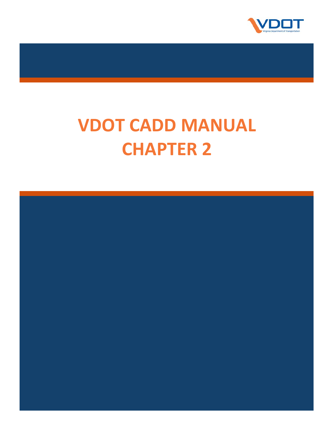

# **VDOT CADD MANUAL CHAPTER 2**

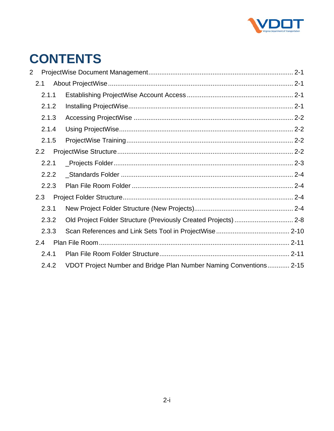

# **CONTENTS**

| 2 |       |  |                                                                    |  |
|---|-------|--|--------------------------------------------------------------------|--|
|   | 2.1   |  |                                                                    |  |
|   | 2.1.1 |  |                                                                    |  |
|   | 2.1.2 |  |                                                                    |  |
|   | 2.1.3 |  |                                                                    |  |
|   | 2.1.4 |  |                                                                    |  |
|   | 2.1.5 |  |                                                                    |  |
|   | 2.2   |  |                                                                    |  |
|   | 2.2.1 |  |                                                                    |  |
|   | 2.2.2 |  |                                                                    |  |
|   | 2.2.3 |  |                                                                    |  |
|   | 2.3   |  |                                                                    |  |
|   | 2.3.1 |  |                                                                    |  |
|   | 2.3.2 |  | Old Project Folder Structure (Previously Created Projects)  2-8    |  |
|   | 2.3.3 |  |                                                                    |  |
|   | 2.4   |  |                                                                    |  |
|   | 2.4.1 |  |                                                                    |  |
|   | 2.4.2 |  | VDOT Project Number and Bridge Plan Number Naming Conventions 2-15 |  |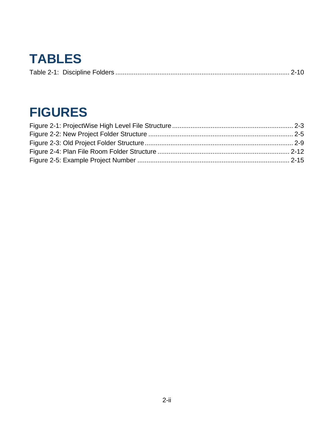# **TABLES**

|--|--|

# **FIGURES**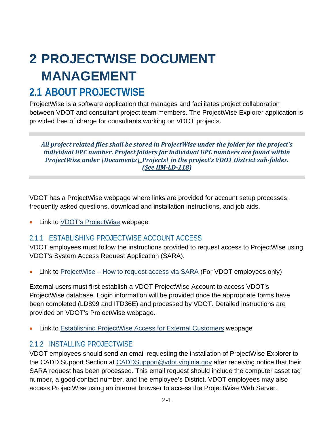# <span id="page-3-0"></span>**2 PROJECTWISE DOCUMENT MANAGEMENT**

# <span id="page-3-1"></span>**2.1 ABOUT PROJECTWISE**

ProjectWise is a software application that manages and facilitates project collaboration between VDOT and consultant project team members. The ProjectWise Explorer application is provided free of charge for consultants working on VDOT projects.

#### *All project related files shall be stored in ProjectWise under the folder for the project's individual UPC number. Project folders for individual UPC numbers are found within ProjectWise under \Documents\\_Projects\ in the project's VDOT District sub-folder. [\(See IIM-LD-118\)](http://www.virginiadot.org/business/resources/LocDes/IIM/IIM118.pdf)*

VDOT has a ProjectWise webpage where links are provided for account setup processes, frequently asked questions, download and installation instructions, and job aids.

Link to [VDOT's ProjectWise](http://www.virginiadot.org/business/locdes/projectwise.asp) webpage

## <span id="page-3-2"></span>2.1.1 ESTABLISHING PROJECTWISE ACCOUNT ACCESS

VDOT employees must follow the instructions provided to request access to ProjectWise using VDOT's System Access Request Application (SARA).

• Link to ProjectWise – [How to request access via SARA](http://www.virginiadot.org/business/resources/LocDes/IPM_ProjectDocuments/ProjectWise_How_to_request_access_via_SARA.pdf) (For VDOT employees only)

External users must first establish a VDOT ProjectWise Account to access VDOT's ProjectWise database. Login information will be provided once the appropriate forms have been completed (LD899 and ITD36E) and processed by VDOT. Detailed instructions are provided on VDOT's ProjectWise webpage.

• Link to [Establishing ProjectWise Access for External Customers](http://www.virginiadot.org/business/locdes/establishing_projectwise_login_access.asp) webpage

### <span id="page-3-3"></span>2.1.2 INSTALLING PROJECTWISE

VDOT employees should send an email requesting the installation of ProjectWise Explorer to the CADD Support Section at [CADDSupport@vdot.virginia.gov](mailto:CADDSupport@vdot.virginia.gov?subject=Request%20for%20Installation%20of%20ProjectWise%20Explorer) after receiving notice that their SARA request has been processed. This email request should include the computer asset tag number, a good contact number, and the employee's District. VDOT employees may also access ProjectWise using an internet browser to access the ProjectWise Web Server.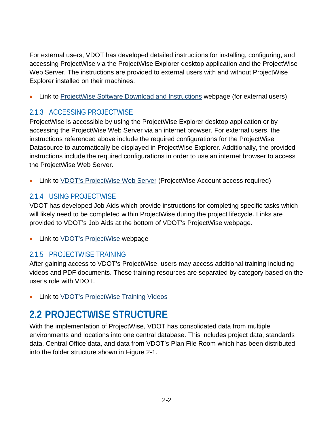For external users, VDOT has developed detailed instructions for installing, configuring, and accessing ProjectWise via the ProjectWise Explorer desktop application and the ProjectWise Web Server. The instructions are provided to external users with and without ProjectWise Explorer installed on their machines.

• Link to [ProjectWise Software Download and Instructions](http://www.virginiadot.org/business/locdes/vdot_projectwise_downloads.asp) webpage (for external users)

# <span id="page-4-0"></span>2.1.3 ACCESSING PROJECTWISE

ProjectWise is accessible by using the ProjectWise Explorer desktop application or by accessing the ProjectWise Web Server via an internet browser. For external users, the instructions referenced above include the required configurations for the ProjectWise Datasource to automatically be displayed in ProjectWise Explorer. Additionally, the provided instructions include the required configurations in order to use an internet browser to access the ProjectWise Web Server.

• Link to [VDOT's ProjectWise Web Server](https://projectwise.vdot.virginia.gov/) (ProjectWise Account access required)

# <span id="page-4-1"></span>2.1.4 USING PROJECTWISE

VDOT has developed Job Aids which provide instructions for completing specific tasks which will likely need to be completed within ProjectWise during the project lifecycle. Links are provided to VDOT's Job Aids at the bottom of VDOT's ProjectWise webpage.

Link to **VDOT's ProjectWise** webpage

## <span id="page-4-2"></span>2.1.5 PROJECTWISE TRAINING

After gaining access to VDOT's ProjectWise, users may access additional training including videos and PDF documents. These training resources are separated by category based on the user's role with VDOT.

• Link to [VDOT's ProjectWise Training Videos](https://www.virginiadot.org/business/locdes/projectwise_videos.asp)

# <span id="page-4-3"></span>**2.2 PROJECTWISE STRUCTURE**

With the implementation of ProjectWise, VDOT has consolidated data from multiple environments and locations into one central database. This includes project data, standards data, Central Office data, and data from VDOT's Plan File Room which has been distributed into the folder structure shown in Figure 2-1.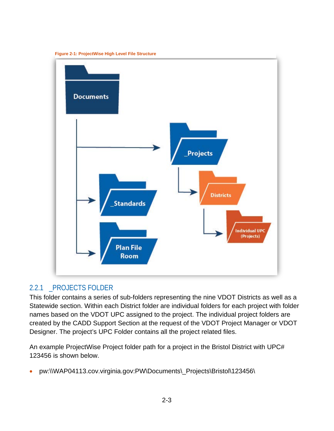

<span id="page-5-1"></span>**Figure 2-1: ProjectWise High Level File Structure**

#### <span id="page-5-0"></span>2.2.1 \_PROJECTS FOLDER

This folder contains a series of sub-folders representing the nine VDOT Districts as well as a Statewide section. Within each District folder are individual folders for each project with folder names based on the VDOT UPC assigned to the project. The individual project folders are created by the CADD Support Section at the request of the VDOT Project Manager or VDOT Designer. The project's UPC Folder contains all the project related files.

An example ProjectWise Project folder path for a project in the Bristol District with UPC# 123456 is shown below.

• pw:\\WAP04113.cov.virginia.gov:PW\Documents\\_Projects\Bristol\123456\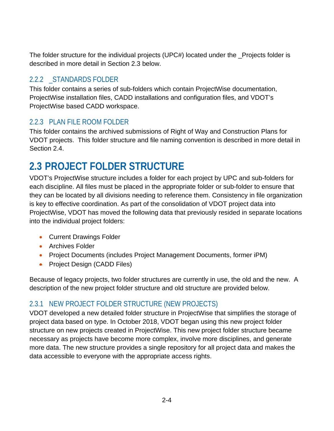The folder structure for the individual projects (UPC#) located under the \_Projects folder is described in more detail in Section [2.3](#page-6-2) below.

# <span id="page-6-0"></span>2.2.2 \_STANDARDS FOLDER

This folder contains a series of sub-folders which contain ProjectWise documentation, ProjectWise installation files, CADD installations and configuration files, and VDOT's ProjectWise based CADD workspace.

# <span id="page-6-1"></span>2.2.3 PLAN FILE ROOM FOLDER

This folder contains the archived submissions of Right of Way and Construction Plans for VDOT projects. This folder structure and file naming convention is described in more detail in Section [2.4.](#page-13-0)

# <span id="page-6-2"></span>**2.3 PROJECT FOLDER STRUCTURE**

VDOT's ProjectWise structure includes a folder for each project by UPC and sub-folders for each discipline. All files must be placed in the appropriate folder or sub-folder to ensure that they can be located by all divisions needing to reference them. Consistency in file organization is key to effective coordination. As part of the consolidation of VDOT project data into ProjectWise, VDOT has moved the following data that previously resided in separate locations into the individual project folders:

- Current Drawings Folder
- Archives Folder
- Project Documents (includes Project Management Documents, former iPM)
- Project Design (CADD Files)

Because of legacy projects, two folder structures are currently in use, the old and the new. A description of the new project folder structure and old structure are provided below.

## <span id="page-6-3"></span>2.3.1 NEW PROJECT FOLDER STRUCTURE (NEW PROJECTS)

VDOT developed a new detailed folder structure in ProjectWise that simplifies the storage of project data based on type. In October 2018, VDOT began using this new project folder structure on new projects created in ProjectWise. This new project folder structure became necessary as projects have become more complex, involve more disciplines, and generate more data. The new structure provides a single repository for all project data and makes the data accessible to everyone with the appropriate access rights.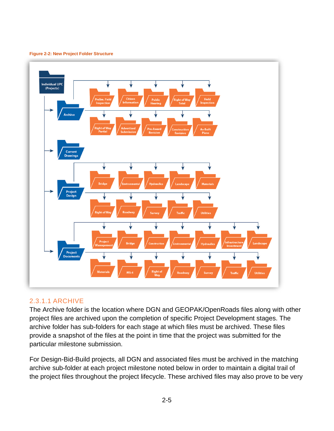<span id="page-7-0"></span>



#### <span id="page-7-1"></span>2.3.1.1 ARCHIVE

The Archive folder is the location where DGN and GEOPAK/OpenRoads files along with other project files are archived upon the completion of specific Project Development stages. The archive folder has sub-folders for each stage at which files must be archived. These files provide a snapshot of the files at the point in time that the project was submitted for the particular milestone submission.

For Design-Bid-Build projects, all DGN and associated files must be archived in the matching archive sub-folder at each project milestone noted below in order to maintain a digital trail of the project files throughout the project lifecycle. These archived files may also prove to be very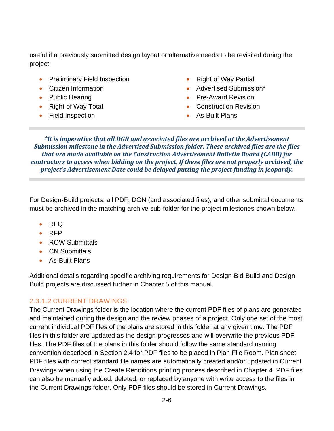useful if a previously submitted design layout or alternative needs to be revisited during the project.

- Preliminary Field Inspection
- Citizen Information
- Public Hearing
- Right of Way Total
- Field Inspection
- Right of Way Partial
- Advertised Submission**\***
- Pre-Award Revision
- Construction Revision
- As-Built Plans

*\*It is imperative that all DGN and associated files are archived at the Advertisement Submission milestone in the Advertised Submission folder. These archived files are the files that are made available on the Construction Advertisement Bulletin Board (CABB) for contractors to access when bidding on the project. If these files are not properly archived, the project's Advertisement Date could be delayed putting the project funding in jeopardy.*

<span id="page-8-0"></span>For Design-Build projects, all PDF, DGN (and associated files), and other submittal documents must be archived in the matching archive sub-folder for the project milestones shown below.

- RFQ
- RFP
- ROW Submittals
- CN Submittals
- As-Built Plans

Additional details regarding specific archiving requirements for Design-Bid-Build and Design-Build projects are discussed further in Chapter 5 of this manual.

#### 2.3.1.2 CURRENT DRAWINGS

The Current Drawings folder is the location where the current PDF files of plans are generated and maintained during the design and the review phases of a project. Only one set of the most current individual PDF files of the plans are stored in this folder at any given time. The PDF files in this folder are updated as the design progresses and will overwrite the previous PDF files. The PDF files of the plans in this folder should follow the same standard naming convention described in Section [2.4](#page-13-0) for PDF files to be placed in Plan File Room. Plan sheet PDF files with correct standard file names are automatically created and/or updated in Current Drawings when using the Create Renditions printing process described in Chapter 4. PDF files can also be manually added, deleted, or replaced by anyone with write access to the files in the Current Drawings folder. Only PDF files should be stored in Current Drawings.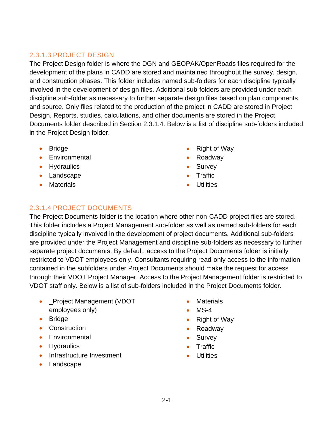#### 2.3.1.3 PROJECT DESIGN

The Project Design folder is where the DGN and GEOPAK/OpenRoads files required for the development of the plans in CADD are stored and maintained throughout the survey, design, and construction phases. This folder includes named sub-folders for each discipline typically involved in the development of design files. Additional sub-folders are provided under each discipline sub-folder as necessary to further separate design files based on plan components and source. Only files related to the production of the project in CADD are stored in Project Design. Reports, studies, calculations, and other documents are stored in the Project Documents folder described in Section [2.3.1.4.](#page-9-0) Below is a list of discipline sub-folders included in the Project Design folder.

- Bridge
- Environmental
- Hydraulics
- Landscape
- Materials
- Right of Way
- Roadway
- Survey
- **Traffic**
- **Utilities**

### <span id="page-9-0"></span>2.3.1.4 PROJECT DOCUMENTS

The Project Documents folder is the location where other non-CADD project files are stored. This folder includes a Project Management sub-folder as well as named sub-folders for each discipline typically involved in the development of project documents. Additional sub-folders are provided under the Project Management and discipline sub-folders as necessary to further separate project documents. By default, access to the Project Documents folder is initially restricted to VDOT employees only. Consultants requiring read-only access to the information contained in the subfolders under Project Documents should make the request for access through their VDOT Project Manager. Access to the Project Management folder is restricted to VDOT staff only. Below is a list of sub-folders included in the Project Documents folder.

- \_Project Management (VDOT employees only)
- Bridge
- Construction
- Environmental
- Hydraulics
- Infrastructure Investment
- Landscape
- Materials
- $MS-4$
- Right of Way
- Roadway
- Survey
- **Traffic**
- **Utilities**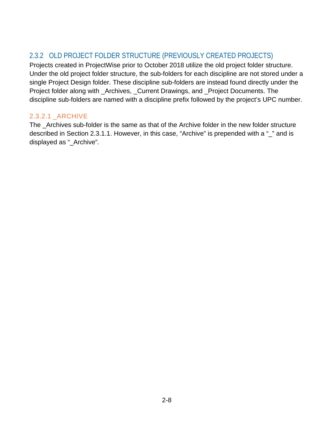## <span id="page-10-0"></span>2.3.2 OLD PROJECT FOLDER STRUCTURE (PREVIOUSLY CREATED PROJECTS)

Projects created in ProjectWise prior to October 2018 utilize the old project folder structure. Under the old project folder structure, the sub-folders for each discipline are not stored under a single Project Design folder. These discipline sub-folders are instead found directly under the Project folder along with \_Archives, \_Current Drawings, and \_Project Documents. The discipline sub-folders are named with a discipline prefix followed by the project's UPC number.

#### 2.3.2.1 \_ARCHIVE

The \_Archives sub-folder is the same as that of the Archive folder in the new folder structure described in Section [2.3.1.1.](#page-7-1) However, in this case, "Archive" is prepended with a "\_" and is displayed as "\_Archive".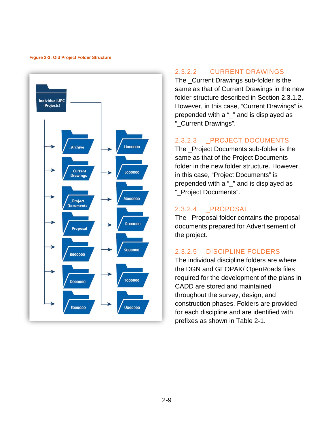#### <span id="page-11-0"></span>**Figure 2-3: Old Project Folder Structure**



#### 2.3.2.2 \_CURRENT DRAWINGS

The \_Current Drawings sub-folder is the same as that of Current Drawings in the new folder structure described in Section [2.3.1.2.](#page-8-0) However, in this case, "Current Drawings" is prepended with a "\_" and is displayed as "\_Current Drawings".

#### 2.3.2.3 \_PROJECT DOCUMENTS

The \_Project Documents sub-folder is the same as that of the Project Documents folder in the new folder structure. However, in this case, "Project Documents" is prepended with a "\_" and is displayed as "\_Project Documents".

#### 2.3.2.4 \_PROPOSAL

The \_Proposal folder contains the proposal documents prepared for Advertisement of the project.

#### 2.3.2.5 DISCIPLINE FOLDERS

The individual discipline folders are where the DGN and GEOPAK/ OpenRoads files required for the development of the plans in CADD are stored and maintained throughout the survey, design, and construction phases. Folders are provided for each discipline and are identified with prefixes as shown in [Table 2-1.](#page-12-1)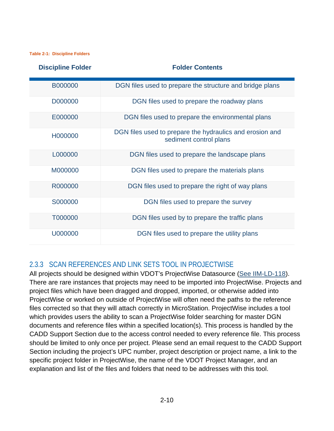<span id="page-12-1"></span>**Table 2-1: Discipline Folders**

| <b>Discipline Folder</b> | <b>Folder Contents</b>                                                             |
|--------------------------|------------------------------------------------------------------------------------|
| B000000                  | DGN files used to prepare the structure and bridge plans                           |
| D000000                  | DGN files used to prepare the roadway plans                                        |
| E000000                  | DGN files used to prepare the environmental plans                                  |
| H000000                  | DGN files used to prepare the hydraulics and erosion and<br>sediment control plans |
| L000000                  | DGN files used to prepare the landscape plans                                      |
| M000000                  | DGN files used to prepare the materials plans                                      |
| R000000                  | DGN files used to prepare the right of way plans                                   |
| S000000                  | DGN files used to prepare the survey                                               |
| T000000                  | DGN files used by to prepare the traffic plans                                     |
| U000000                  | DGN files used to prepare the utility plans                                        |

## <span id="page-12-0"></span>2.3.3 SCAN REFERENCES AND LINK SETS TOOL IN PROJECTWISE

All projects should be designed within VDOT's ProjectWise Datasource [\(See IIM-LD-118\)](http://www.virginiadot.org/business/resources/LocDes/IIM/IIM118.pdf). There are rare instances that projects may need to be imported into ProjectWise. Projects and project files which have been dragged and dropped, imported, or otherwise added into ProjectWise or worked on outside of ProjectWise will often need the paths to the reference files corrected so that they will attach correctly in MicroStation. ProjectWise includes a tool which provides users the ability to scan a ProjectWise folder searching for master DGN documents and reference files within a specified location(s). This process is handled by the CADD Support Section due to the access control needed to every reference file. This process should be limited to only once per project. Please send an email request to the CADD Support Section including the project's UPC number, project description or project name, a link to the specific project folder in ProjectWise, the name of the VDOT Project Manager, and an explanation and list of the files and folders that need to be addresses with this tool.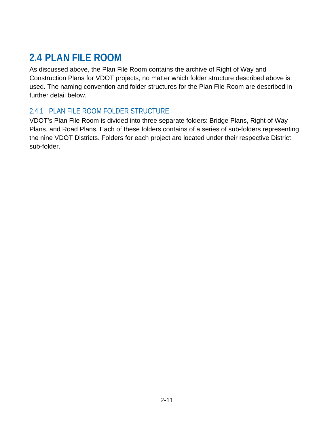# <span id="page-13-0"></span>**2.4 PLAN FILE ROOM**

As discussed above, the Plan File Room contains the archive of Right of Way and Construction Plans for VDOT projects, no matter which folder structure described above is used. The naming convention and folder structures for the Plan File Room are described in further detail below.

# <span id="page-13-1"></span>2.4.1 PLAN FILE ROOM FOLDER STRUCTURE

VDOT's Plan File Room is divided into three separate folders: Bridge Plans, Right of Way Plans, and Road Plans. Each of these folders contains of a series of sub-folders representing the nine VDOT Districts. Folders for each project are located under their respective District sub-folder.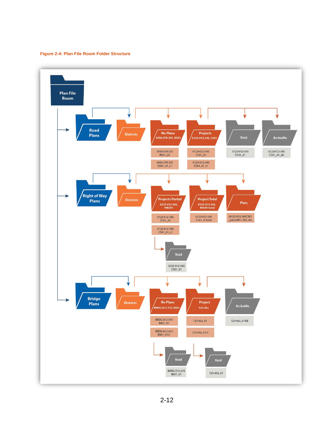<span id="page-14-0"></span>**Figure 2-4: Plan File Room Folder Structure**

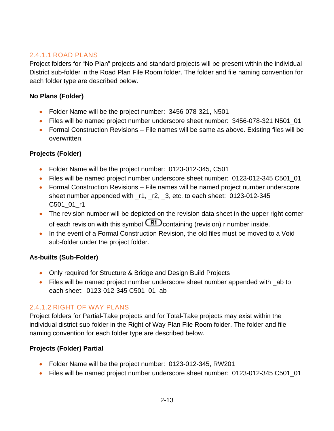#### 2.4.1.1 ROAD PLANS

Project folders for "No Plan" projects and standard projects will be present within the individual District sub-folder in the Road Plan File Room folder. The folder and file naming convention for each folder type are described below.

#### **No Plans (Folder)**

- Folder Name will be the project number: 3456-078-321, N501
- Files will be named project number underscore sheet number: 3456-078-321 N501\_01
- Formal Construction Revisions File names will be same as above. Existing files will be overwritten.

#### **Projects (Folder)**

- Folder Name will be the project number: 0123-012-345, C501
- Files will be named project number underscore sheet number: 0123-012-345 C501 01
- Formal Construction Revisions File names will be named project number underscore sheet number appended with \_r1, \_r2, \_3, etc. to each sheet: 0123-012-345 C501\_01\_r1
- The revision number will be depicted on the revision data sheet in the upper right corner of each revision with this symbol  $\overline{R1}$  containing (revision) r number inside.
- In the event of a Formal Construction Revision, the old files must be moved to a Void sub-folder under the project folder.

#### **As-builts (Sub-Folder)**

- Only required for Structure & Bridge and Design Build Projects
- Files will be named project number underscore sheet number appended with ab to each sheet: 0123-012-345 C501\_01\_ab

#### 2.4.1.2 RIGHT OF WAY PLANS

Project folders for Partial-Take projects and for Total-Take projects may exist within the individual district sub-folder in the Right of Way Plan File Room folder. The folder and file naming convention for each folder type are described below.

#### **Projects (Folder) Partial**

- Folder Name will be the project number: 0123-012-345, RW201
- Files will be named project number underscore sheet number: 0123-012-345 C501\_01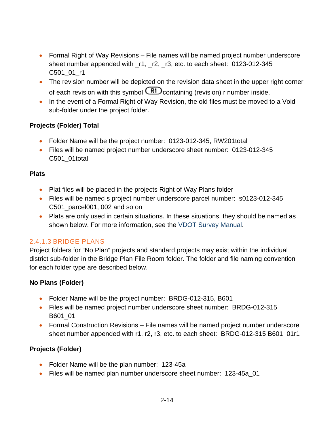- Formal Right of Way Revisions File names will be named project number underscore sheet number appended with \_r1, \_r2, \_r3, etc. to each sheet: 0123-012-345 C501\_01\_r1
- The revision number will be depicted on the revision data sheet in the upper right corner of each revision with this symbol  $\binom{R1}{C}$  containing (revision) r number inside.
- In the event of a Formal Right of Way Revision, the old files must be moved to a Void sub-folder under the project folder.

#### **Projects (Folder) Total**

- Folder Name will be the project number: 0123-012-345, RW201total
- Files will be named project number underscore sheet number: 0123-012-345 C501\_01total

#### **Plats**

- Plat files will be placed in the projects Right of Way Plans folder
- Files will be named s project number underscore parcel number: s0123-012-345 C501 parcel001, 002 and so on
- Plats are only used in certain situations. In these situations, they should be named as shown below. For more information, see the [VDOT Survey Manual.](http://www.virginiadot.org/business/locdes/survey_manual.asp)

#### 2.4.1.3 BRIDGE PLANS

Project folders for "No Plan" projects and standard projects may exist within the individual district sub-folder in the Bridge Plan File Room folder. The folder and file naming convention for each folder type are described below.

#### **No Plans (Folder)**

- Folder Name will be the project number: BRDG-012-315, B601
- Files will be named project number underscore sheet number: BRDG-012-315 B601\_01
- Formal Construction Revisions File names will be named project number underscore sheet number appended with r1, r2, r3, etc. to each sheet: BRDG-012-315 B601\_01r1

#### **Projects (Folder)**

- Folder Name will be the plan number: 123-45a
- Files will be named plan number underscore sheet number: 123-45a\_01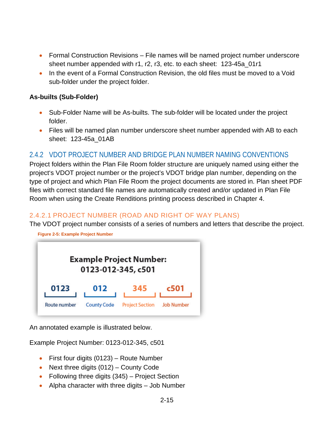- Formal Construction Revisions File names will be named project number underscore sheet number appended with r1, r2, r3, etc. to each sheet: 123-45a\_01r1
- In the event of a Formal Construction Revision, the old files must be moved to a Void sub-folder under the project folder.

#### **As-builts (Sub-Folder)**

- Sub-Folder Name will be As-builts. The sub-folder will be located under the project folder.
- Files will be named plan number underscore sheet number appended with AB to each sheet: 123-45a\_01AB

### <span id="page-17-0"></span>2.4.2 VDOT PROJECT NUMBER AND BRIDGE PLAN NUMBER NAMING CONVENTIONS

Project folders within the Plan File Room folder structure are uniquely named using either the project's VDOT project number or the project's VDOT bridge plan number, depending on the type of project and which Plan File Room the project documents are stored in. Plan sheet PDF files with correct standard file names are automatically created and/or updated in Plan File Room when using the Create Renditions printing process described in Chapter 4.

#### 2.4.2.1 PROJECT NUMBER (ROAD AND RIGHT OF WAY PLANS)

The VDOT project number consists of a series of numbers and letters that describe the project.

<span id="page-17-1"></span>

An annotated example is illustrated below.

Example Project Number: 0123-012-345, c501

- First four digits (0123) Route Number
- Next three digits (012) County Code
- Following three digits (345) Project Section
- Alpha character with three digits Job Number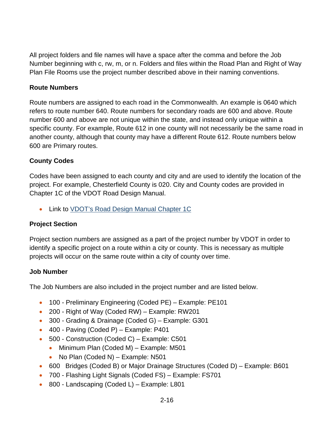All project folders and file names will have a space after the comma and before the Job Number beginning with c, rw, m, or n. Folders and files within the Road Plan and Right of Way Plan File Rooms use the project number described above in their naming conventions.

#### **Route Numbers**

Route numbers are assigned to each road in the Commonwealth. An example is 0640 which refers to route number 640. Route numbers for secondary roads are 600 and above. Route number 600 and above are not unique within the state, and instead only unique within a specific county. For example, Route 612 in one county will not necessarily be the same road in another county, although that county may have a different Route 612. Route numbers below 600 are Primary routes.

#### **County Codes**

Codes have been assigned to each county and city and are used to identify the location of the project. For example, Chesterfield County is 020. City and County codes are provided in Chapter 1C of the VDOT Road Design Manual.

• Link to [VDOT's Road Design Manual](http://www.virginiadot.org/business/resources/LocDes/RDM/chap1c.pdf) Chapter 1C

#### **Project Section**

Project section numbers are assigned as a part of the project number by VDOT in order to identify a specific project on a route within a city or county. This is necessary as multiple projects will occur on the same route within a city of county over time.

#### **Job Number**

The Job Numbers are also included in the project number and are listed below.

- 100 Preliminary Engineering (Coded PE) Example: PE101
- 200 Right of Way (Coded RW) Example: RW201
- 300 Grading & Drainage (Coded G) Example: G301
- 400 Paving (Coded P) Example: P401
- 500 Construction (Coded C) Example: C501
	- Minimum Plan (Coded M) Example: M501
	- No Plan (Coded N) Example: N501
- 600 Bridges (Coded B) or Major Drainage Structures (Coded D) Example: B601
- 700 Flashing Light Signals (Coded FS) Example: FS701
- 800 Landscaping (Coded L) Example: L801